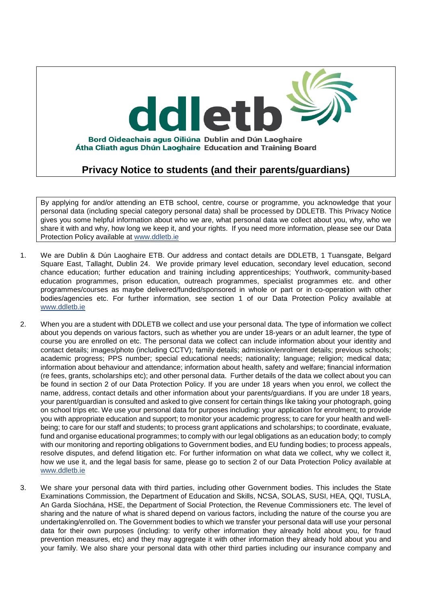

**Privacy Notice to students (and their parents/guardians)** 

By applying for and/or attending an ETB school, centre, course or programme, you acknowledge that your personal data (including special category personal data) shall be processed by DDLETB. This Privacy Notice gives you some helpful information about who we are, what personal data we collect about you, why, who we share it with and why, how long we keep it, and your rights. If you need more information, please see our Data Protection Policy available at [www.ddletb.ie](http://www.xxxxetb.ie/)

- 1. We are Dublin & Dún Laoghaire ETB. Our address and contact details are DDLETB, 1 Tuansgate, Belgard Square East, Tallaght, Dublin 24. We provide primary level education, secondary level education, second chance education; further education and training including apprenticeships; Youthwork, community-based education programmes, prison education, outreach programmes, specialist programmes etc. and other programmes/courses as maybe delivered/funded/sponsored in whole or part or in co-operation with other bodies/agencies etc. For further information, see section 1 of our Data Protection Policy available at [www.ddletb.ie](http://www.ddletb.ie/)
- 2. When you are a student with DDLETB we collect and use your personal data. The type of information we collect about you depends on various factors, such as whether you are under 18-years or an adult learner, the type of course you are enrolled on etc. The personal data we collect can include information about your identity and contact details; images/photo (including CCTV); family details; admission/enrolment details; previous schools; academic progress; PPS number; special educational needs; nationality; language; religion; medical data; information about behaviour and attendance; information about health, safety and welfare; financial information (re fees, grants, scholarships etc); and other personal data. Further details of the data we collect about you can be found in section 2 of our Data Protection Policy. If you are under 18 years when you enrol, we collect the name, address, contact details and other information about your parents/guardians. If you are under 18 years, your parent/guardian is consulted and asked to give consent for certain things like taking your photograph, going on school trips etc. We use your personal data for purposes including: your application for enrolment; to provide you with appropriate education and support; to monitor your academic progress; to care for your health and wellbeing; to care for our staff and students; to process grant applications and scholarships; to coordinate, evaluate, fund and organise educational programmes; to comply with our legal obligations as an education body; to comply with our monitoring and reporting obligations to Government bodies, and EU funding bodies; to process appeals, resolve disputes, and defend litigation etc. For further information on what data we collect, why we collect it, how we use it, and the legal basis for same, please go to section 2 of our Data Protection Policy available at [www.ddletb.ie](http://www.xxxxetb.ie/)
- 3. We share your personal data with third parties, including other Government bodies. This includes the State Examinations Commission, the Department of Education and Skills, NCSA, SOLAS, SUSI, HEA, QQI, TUSLA, An Garda Síochána, HSE, the Department of Social Protection, the Revenue Commissioners etc. The level of sharing and the nature of what is shared depend on various factors, including the nature of the course you are undertaking/enrolled on. The Government bodies to which we transfer your personal data will use your personal data for their own purposes (including: to verify other information they already hold about you, for fraud prevention measures, etc) and they may aggregate it with other information they already hold about you and your family. We also share your personal data with other third parties including our insurance company and